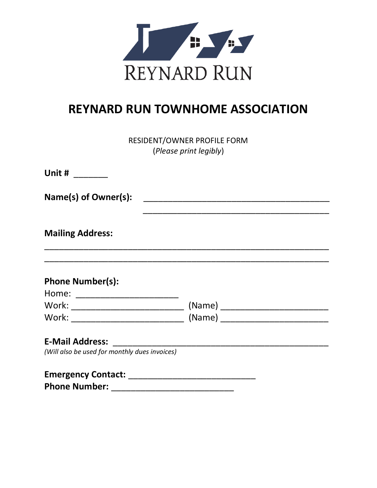

## **REYNARD RUN TOWNHOME ASSOCIATION**

RESIDENT/OWNER PROFILE FORM (*Please print legibly*)

| Unit #                                                      |  |
|-------------------------------------------------------------|--|
| Name(s) of Owner(s):                                        |  |
| <b>Mailing Address:</b>                                     |  |
| <b>Phone Number(s):</b><br>Home: __________________________ |  |
|                                                             |  |
|                                                             |  |
| <b>E-Mail Address:</b>                                      |  |
| (Will also be used for monthly dues invoices)               |  |
| <b>Emergency Contact:</b>                                   |  |

**Phone Number:**  $\blacksquare$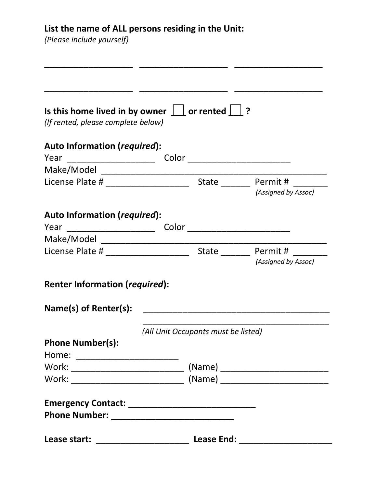## **List the name of ALL persons residing in the Unit:**

*(Please include yourself)*

| (If rented, please complete below)    | Is this home lived in by owner $\Box$ or rented $\Box$ ? |                     |
|---------------------------------------|----------------------------------------------------------|---------------------|
| Auto Information (required):          |                                                          |                     |
|                                       |                                                          |                     |
|                                       |                                                          |                     |
|                                       |                                                          | (Assigned by Assoc) |
| Auto Information (required):          |                                                          |                     |
|                                       |                                                          |                     |
|                                       |                                                          |                     |
|                                       |                                                          |                     |
|                                       |                                                          | (Assigned by Assoc) |
| <b>Renter Information (required):</b> |                                                          |                     |
| Name(s) of Renter(s):                 |                                                          |                     |
|                                       |                                                          |                     |
|                                       | (All Unit Occupants must be listed)                      |                     |
|                                       |                                                          |                     |
|                                       |                                                          |                     |
|                                       |                                                          |                     |
|                                       |                                                          |                     |
| <b>Phone Number(s):</b>               |                                                          |                     |